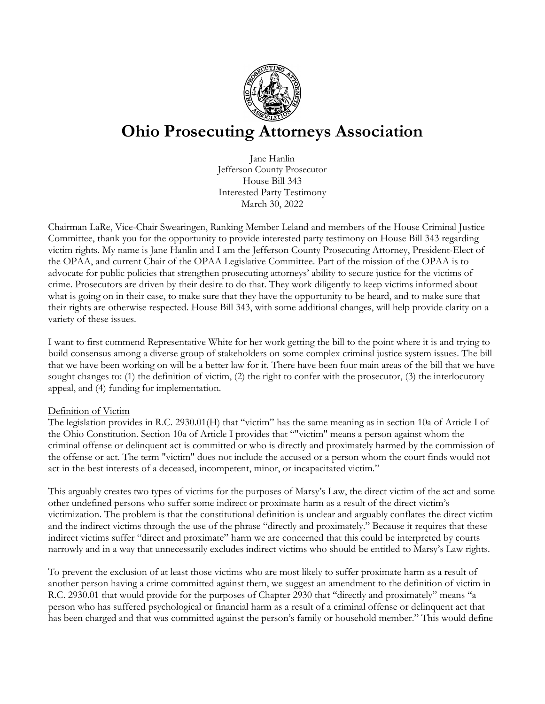

# **Ohio Prosecuting Attorneys Association**

Jane Hanlin Jefferson County Prosecutor House Bill 343 Interested Party Testimony March 30, 2022

Chairman LaRe, Vice-Chair Swearingen, Ranking Member Leland and members of the House Criminal Justice Committee, thank you for the opportunity to provide interested party testimony on House Bill 343 regarding victim rights. My name is Jane Hanlin and I am the Jefferson County Prosecuting Attorney, President-Elect of the OPAA, and current Chair of the OPAA Legislative Committee. Part of the mission of the OPAA is to advocate for public policies that strengthen prosecuting attorneys' ability to secure justice for the victims of crime. Prosecutors are driven by their desire to do that. They work diligently to keep victims informed about what is going on in their case, to make sure that they have the opportunity to be heard, and to make sure that their rights are otherwise respected. House Bill 343, with some additional changes, will help provide clarity on a variety of these issues.

I want to first commend Representative White for her work getting the bill to the point where it is and trying to build consensus among a diverse group of stakeholders on some complex criminal justice system issues. The bill that we have been working on will be a better law for it. There have been four main areas of the bill that we have sought changes to: (1) the definition of victim, (2) the right to confer with the prosecutor, (3) the interlocutory appeal, and (4) funding for implementation.

#### Definition of Victim

The legislation provides in R.C. 2930.01(H) that "victim" has the same meaning as in section 10a of Article I of the Ohio Constitution. Section 10a of Article I provides that ""victim" means a person against whom the criminal offense or delinquent act is committed or who is directly and proximately harmed by the commission of the offense or act. The term "victim" does not include the accused or a person whom the court finds would not act in the best interests of a deceased, incompetent, minor, or incapacitated victim."

This arguably creates two types of victims for the purposes of Marsy's Law, the direct victim of the act and some other undefined persons who suffer some indirect or proximate harm as a result of the direct victim's victimization. The problem is that the constitutional definition is unclear and arguably conflates the direct victim and the indirect victims through the use of the phrase "directly and proximately." Because it requires that these indirect victims suffer "direct and proximate" harm we are concerned that this could be interpreted by courts narrowly and in a way that unnecessarily excludes indirect victims who should be entitled to Marsy's Law rights.

To prevent the exclusion of at least those victims who are most likely to suffer proximate harm as a result of another person having a crime committed against them, we suggest an amendment to the definition of victim in R.C. 2930.01 that would provide for the purposes of Chapter 2930 that "directly and proximately" means "a person who has suffered psychological or financial harm as a result of a criminal offense or delinquent act that has been charged and that was committed against the person's family or household member." This would define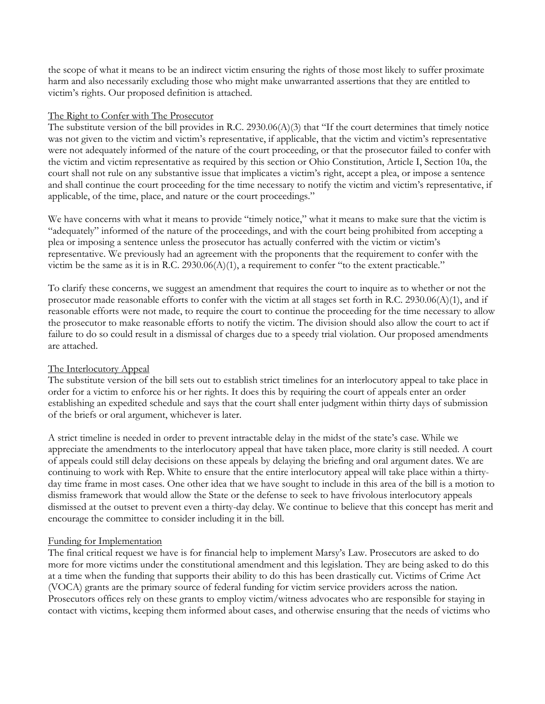the scope of what it means to be an indirect victim ensuring the rights of those most likely to suffer proximate harm and also necessarily excluding those who might make unwarranted assertions that they are entitled to victim's rights. Our proposed definition is attached.

#### The Right to Confer with The Prosecutor

The substitute version of the bill provides in R.C. 2930.06(A)(3) that "If the court determines that timely notice was not given to the victim and victim's representative, if applicable, that the victim and victim's representative were not adequately informed of the nature of the court proceeding, or that the prosecutor failed to confer with the victim and victim representative as required by this section or Ohio Constitution, Article I, Section 10a, the court shall not rule on any substantive issue that implicates a victim's right, accept a plea, or impose a sentence and shall continue the court proceeding for the time necessary to notify the victim and victim's representative, if applicable, of the time, place, and nature or the court proceedings."

We have concerns with what it means to provide "timely notice," what it means to make sure that the victim is "adequately" informed of the nature of the proceedings, and with the court being prohibited from accepting a plea or imposing a sentence unless the prosecutor has actually conferred with the victim or victim's representative. We previously had an agreement with the proponents that the requirement to confer with the victim be the same as it is in R.C. 2930.06(A)(1), a requirement to confer "to the extent practicable."

To clarify these concerns, we suggest an amendment that requires the court to inquire as to whether or not the prosecutor made reasonable efforts to confer with the victim at all stages set forth in R.C. 2930.06(A)(1), and if reasonable efforts were not made, to require the court to continue the proceeding for the time necessary to allow the prosecutor to make reasonable efforts to notify the victim. The division should also allow the court to act if failure to do so could result in a dismissal of charges due to a speedy trial violation. Our proposed amendments are attached.

#### The Interlocutory Appeal

The substitute version of the bill sets out to establish strict timelines for an interlocutory appeal to take place in order for a victim to enforce his or her rights. It does this by requiring the court of appeals enter an order establishing an expedited schedule and says that the court shall enter judgment within thirty days of submission of the briefs or oral argument, whichever is later.

A strict timeline is needed in order to prevent intractable delay in the midst of the state's case. While we appreciate the amendments to the interlocutory appeal that have taken place, more clarity is still needed. A court of appeals could still delay decisions on these appeals by delaying the briefing and oral argument dates. We are continuing to work with Rep. White to ensure that the entire interlocutory appeal will take place within a thirtyday time frame in most cases. One other idea that we have sought to include in this area of the bill is a motion to dismiss framework that would allow the State or the defense to seek to have frivolous interlocutory appeals dismissed at the outset to prevent even a thirty-day delay. We continue to believe that this concept has merit and encourage the committee to consider including it in the bill.

#### Funding for Implementation

The final critical request we have is for financial help to implement Marsy's Law. Prosecutors are asked to do more for more victims under the constitutional amendment and this legislation. They are being asked to do this at a time when the funding that supports their ability to do this has been drastically cut. Victims of Crime Act (VOCA) grants are the primary source of federal funding for victim service providers across the nation. Prosecutors offices rely on these grants to employ victim/witness advocates who are responsible for staying in contact with victims, keeping them informed about cases, and otherwise ensuring that the needs of victims who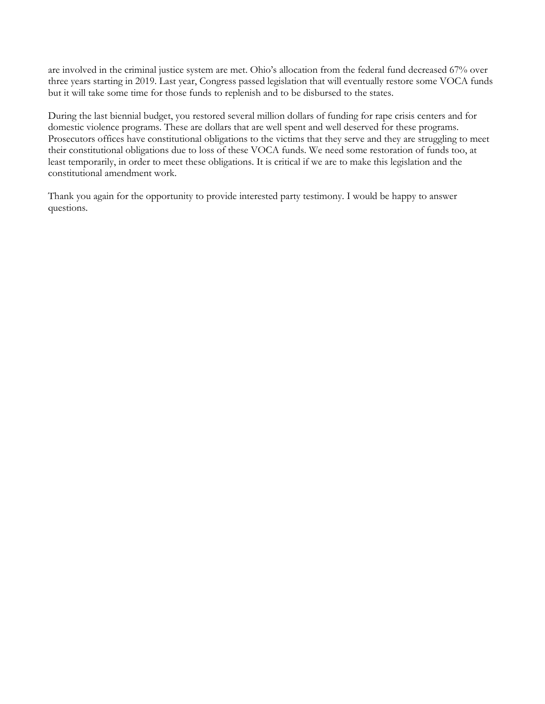are involved in the criminal justice system are met. Ohio's allocation from the federal fund decreased 67% over three years starting in 2019. Last year, Congress passed legislation that will eventually restore some VOCA funds but it will take some time for those funds to replenish and to be disbursed to the states.

During the last biennial budget, you restored several million dollars of funding for rape crisis centers and for domestic violence programs. These are dollars that are well spent and well deserved for these programs. Prosecutors offices have constitutional obligations to the victims that they serve and they are struggling to meet their constitutional obligations due to loss of these VOCA funds. We need some restoration of funds too, at least temporarily, in order to meet these obligations. It is critical if we are to make this legislation and the constitutional amendment work.

Thank you again for the opportunity to provide interested party testimony. I would be happy to answer questions.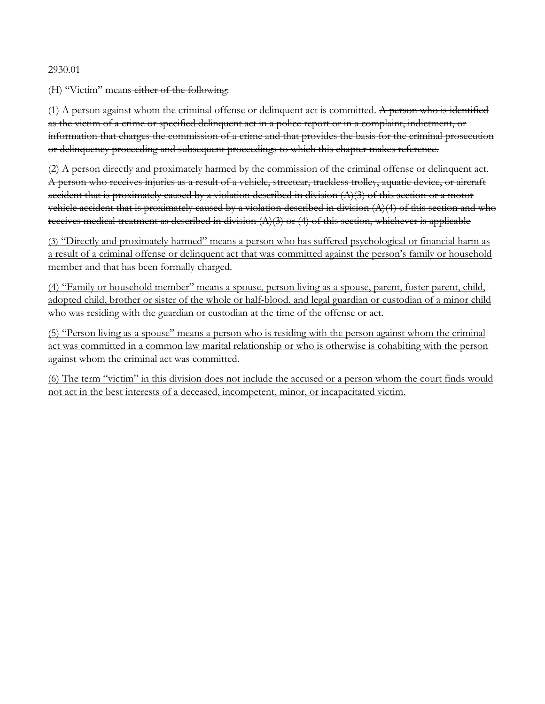## 2930.01

(H) "Victim" means either of the following:

(1) A person against whom the criminal offense or delinquent act is committed. A person who is identified as the victim of a crime or specified delinquent act in a police report or in a complaint, indictment, or information that charges the commission of a crime and that provides the basis for the criminal prosecution or delinquency proceeding and subsequent proceedings to which this chapter makes reference.

(2) A person directly and proximately harmed by the commission of the criminal offense or delinquent act. A person who receives injuries as a result of a vehicle, streetcar, trackless trolley, aquatic device, or aircraft accident that is proximately caused by a violation described in division  $(A)(3)$  of this section or a motor vehicle accident that is proximately caused by a violation described in division (A)(4) of this section and who receives medical treatment as described in division (A)(3) or (4) of this section, whichever is applicable

(3) "Directly and proximately harmed" means a person who has suffered psychological or financial harm as a result of a criminal offense or delinquent act that was committed against the person's family or household member and that has been formally charged.

(4) "Family or household member" means a spouse, person living as a spouse, parent, foster parent, child, adopted child, brother or sister of the whole or half-blood, and legal guardian or custodian of a minor child who was residing with the guardian or custodian at the time of the offense or act.

(5) "Person living as a spouse" means a person who is residing with the person against whom the criminal act was committed in a common law marital relationship or who is otherwise is cohabiting with the person against whom the criminal act was committed.

(6) The term "victim" in this division does not include the accused or a person whom the court finds would not act in the best interests of a deceased, incompetent, minor, or incapacitated victim.